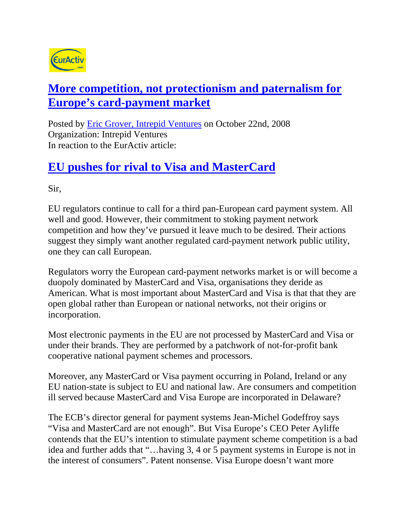

## **More competition, not protectionism and paternalism for Europe's card-payment market**

Posted by Eric Grover, Intrepid Ventures on October 22nd, 2008 Organization: Intrepid Ventures In reaction to the EurActiv article:

## **EU pushes for rival to Visa and MasterCard**

Sir,

EU regulators continue to call for a third pan-European card payment system. All well and good. However, their commitment to stoking payment network competition and how they've pursued it leave much to be desired. Their actions suggest they simply want another regulated card-payment network public utility, one they can call European.

Regulators worry the European card-payment networks market is or will become a duopoly dominated by MasterCard and Visa, organisations they deride as American. What is most important about MasterCard and Visa is that that they are open global rather than European or national networks, not their origins or incorporation.

Most electronic payments in the EU are not processed by MasterCard and Visa or under their brands. They are performed by a patchwork of not-for-profit bank cooperative national payment schemes and processors.

Moreover, any MasterCard or Visa payment occurring in Poland, Ireland or any EU nation-state is subject to EU and national law. Are consumers and competition ill served because MasterCard and Visa Europe are incorporated in Delaware?

The ECB's director general for payment systems Jean-Michel Godeffroy says "Visa and MasterCard are not enough". But Visa Europe's CEO Peter Ayliffe contends that the EU's intention to stimulate payment scheme competition is a bad idea and further adds that "…having 3, 4 or 5 payment systems in Europe is not in the interest of consumers". Patent nonsense. Visa Europe doesn't want more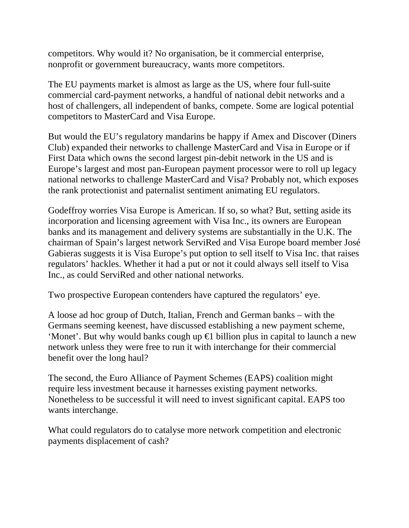competitors. Why would it? No organisation, be it commercial enterprise, nonprofit or government bureaucracy, wants more competitors.

The EU payments market is almost as large as the US, where four full-suite commercial card-payment networks, a handful of national debit networks and a host of challengers, all independent of banks, compete. Some are logical potential competitors to MasterCard and Visa Europe.

But would the EU's regulatory mandarins be happy if Amex and Discover (Diners Club) expanded their networks to challenge MasterCard and Visa in Europe or if First Data which owns the second largest pin-debit network in the US and is Europe's largest and most pan-European payment processor were to roll up legacy national networks to challenge MasterCard and Visa? Probably not, which exposes the rank protectionist and paternalist sentiment animating EU regulators.

Godeffroy worries Visa Europe is American. If so, so what? But, setting aside its incorporation and licensing agreement with Visa Inc., its owners are European banks and its management and delivery systems are substantially in the U.K. The chairman of Spain's largest network ServiRed and Visa Europe board member José Gabieras suggests it is Visa Europe's put option to sell itself to Visa Inc. that raises regulators' hackles. Whether it had a put or not it could always sell itself to Visa Inc., as could ServiRed and other national networks.

Two prospective European contenders have captured the regulators' eye.

A loose ad hoc group of Dutch, Italian, French and German banks – with the Germans seeming keenest, have discussed establishing a new payment scheme, 'Monet'. But why would banks cough up  $\bigoplus$  billion plus in capital to launch a new network unless they were free to run it with interchange for their commercial benefit over the long haul?

The second, the Euro Alliance of Payment Schemes (EAPS) coalition might require less investment because it harnesses existing payment networks. Nonetheless to be successful it will need to invest significant capital. EAPS too wants interchange.

What could regulators do to catalyse more network competition and electronic payments displacement of cash?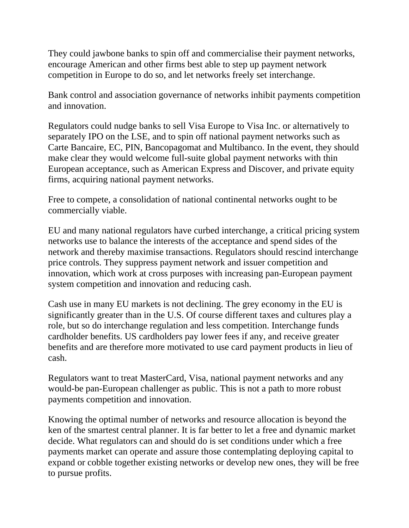They could jawbone banks to spin off and commercialise their payment networks, encourage American and other firms best able to step up payment network competition in Europe to do so, and let networks freely set interchange.

Bank control and association governance of networks inhibit payments competition and innovation.

Regulators could nudge banks to sell Visa Europe to Visa Inc. or alternatively to separately IPO on the LSE, and to spin off national payment networks such as Carte Bancaire, EC, PIN, Bancopagomat and Multibanco. In the event, they should make clear they would welcome full-suite global payment networks with thin European acceptance, such as American Express and Discover, and private equity firms, acquiring national payment networks.

Free to compete, a consolidation of national continental networks ought to be commercially viable.

EU and many national regulators have curbed interchange, a critical pricing system networks use to balance the interests of the acceptance and spend sides of the network and thereby maximise transactions. Regulators should rescind interchange price controls. They suppress payment network and issuer competition and innovation, which work at cross purposes with increasing pan-European payment system competition and innovation and reducing cash.

Cash use in many EU markets is not declining. The grey economy in the EU is significantly greater than in the U.S. Of course different taxes and cultures play a role, but so do interchange regulation and less competition. Interchange funds cardholder benefits. US cardholders pay lower fees if any, and receive greater benefits and are therefore more motivated to use card payment products in lieu of cash.

Regulators want to treat MasterCard, Visa, national payment networks and any would-be pan-European challenger as public. This is not a path to more robust payments competition and innovation.

Knowing the optimal number of networks and resource allocation is beyond the ken of the smartest central planner. It is far better to let a free and dynamic market decide. What regulators can and should do is set conditions under which a free payments market can operate and assure those contemplating deploying capital to expand or cobble together existing networks or develop new ones, they will be free to pursue profits.